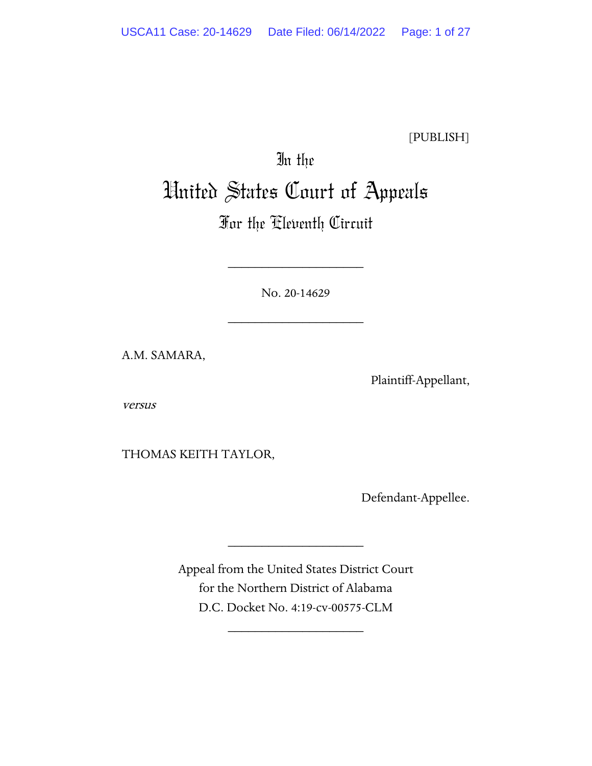[PUBLISH]

# In the United States Court of Appeals

# For the Eleventh Circuit

No. 20-14629

\_\_\_\_\_\_\_\_\_\_\_\_\_\_\_\_\_\_\_\_

\_\_\_\_\_\_\_\_\_\_\_\_\_\_\_\_\_\_\_\_

A.M. SAMARA,

Plaintiff-Appellant,

versus

THOMAS KEITH TAYLOR,

Defendant-Appellee.

Appeal from the United States District Court for the Northern District of Alabama D.C. Docket No. 4:19-cv-00575-CLM

\_\_\_\_\_\_\_\_\_\_\_\_\_\_\_\_\_\_\_\_

\_\_\_\_\_\_\_\_\_\_\_\_\_\_\_\_\_\_\_\_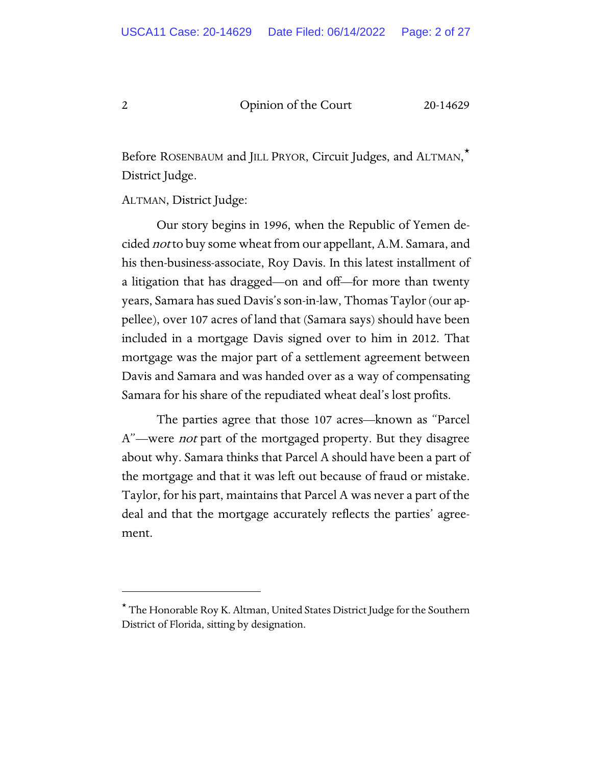Before ROSENBAUM and JILL PRYOR, Circuit Judges, and ALTMAN[,\\*](#page-1-0) District Judge.

ALTMAN, District Judge:

Our story begins in 1996, when the Republic of Yemen decided *not* to buy some wheat from our appellant, A.M. Samara, and his then-business-associate, Roy Davis. In this latest installment of a litigation that has dragged—on and off—for more than twenty years, Samara has sued Davis's son-in-law, Thomas Taylor (our appellee), over 107 acres of land that (Samara says) should have been included in a mortgage Davis signed over to him in 2012. That mortgage was the major part of a settlement agreement between Davis and Samara and was handed over as a way of compensating Samara for his share of the repudiated wheat deal's lost profits.

The parties agree that those 107 acres—known as "Parcel A"—were *not* part of the mortgaged property. But they disagree about why. Samara thinks that Parcel A should have been a part of the mortgage and that it was left out because of fraud or mistake. Taylor, for his part, maintains that Parcel A was never a part of the deal and that the mortgage accurately reflects the parties' agreement.

<span id="page-1-0"></span><sup>\*</sup> The Honorable Roy K. Altman, United States District Judge for the Southern District of Florida, sitting by designation.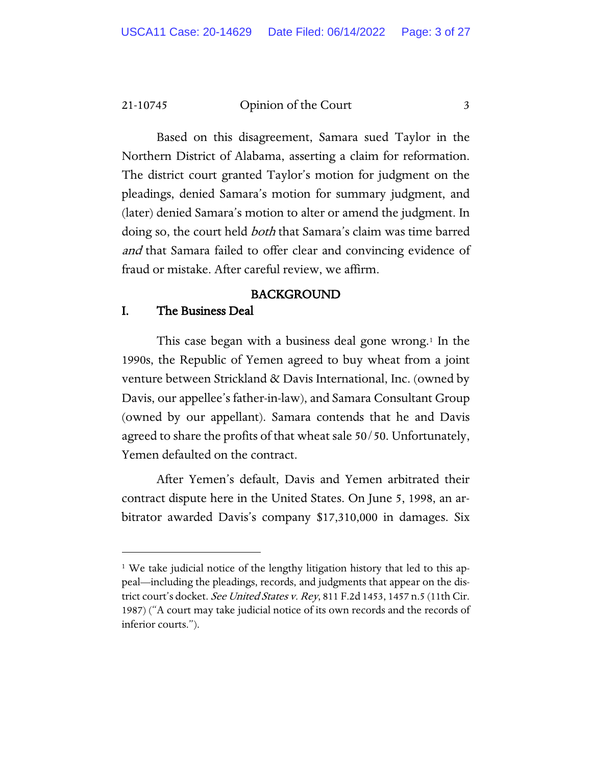Based on this disagreement, Samara sued Taylor in the Northern District of Alabama, asserting a claim for reformation. The district court granted Taylor's motion for judgment on the pleadings, denied Samara's motion for summary judgment, and (later) denied Samara's motion to alter or amend the judgment. In doing so, the court held both that Samara's claim was time barred and that Samara failed to offer clear and convincing evidence of fraud or mistake. After careful review, we affirm.

# BACKGROUND

# I. The Business Deal

This case began with a business deal gone wrong.[1](#page-2-0) In the 1990s, the Republic of Yemen agreed to buy wheat from a joint venture between Strickland & Davis International, Inc. (owned by Davis, our appellee's father-in-law), and Samara Consultant Group (owned by our appellant). Samara contends that he and Davis agreed to share the profits of that wheat sale 50/50. Unfortunately, Yemen defaulted on the contract.

After Yemen's default, Davis and Yemen arbitrated their contract dispute here in the United States. On June 5, 1998, an arbitrator awarded Davis's company \$17,310,000 in damages. Six

<span id="page-2-0"></span><sup>&</sup>lt;sup>1</sup> We take judicial notice of the lengthy litigation history that led to this appeal—including the pleadings, records, and judgments that appear on the district court's docket. See United States v. Rey, 811 F.2d 1453, 1457 n.5 (11th Cir. 1987) ("A court may take judicial notice of its own records and the records of inferior courts.").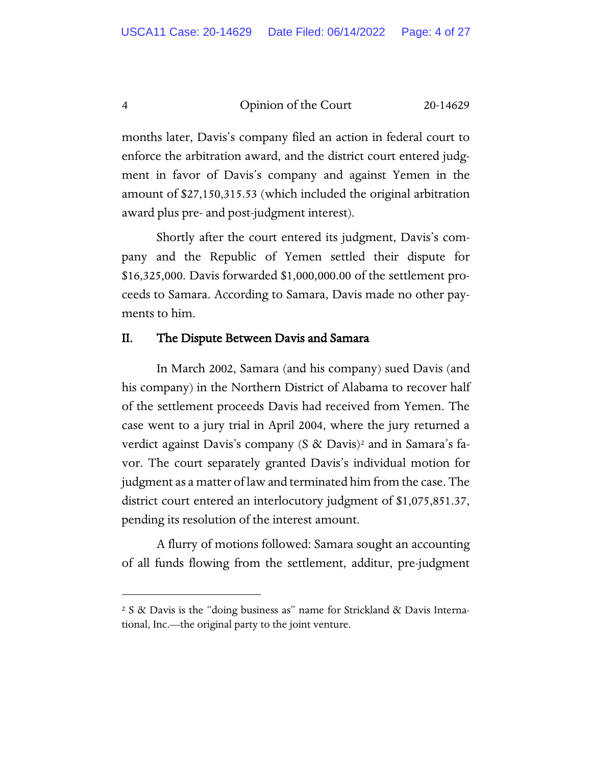months later, Davis's company filed an action in federal court to enforce the arbitration award, and the district court entered judgment in favor of Davis's company and against Yemen in the amount of \$27,150,315.53 (which included the original arbitration award plus pre- and post-judgment interest).

Shortly after the court entered its judgment, Davis's company and the Republic of Yemen settled their dispute for \$16,325,000. Davis forwarded \$1,000,000.00 of the settlement proceeds to Samara. According to Samara, Davis made no other payments to him.

# II. The Dispute Between Davis and Samara

In March 2002, Samara (and his company) sued Davis (and his company) in the Northern District of Alabama to recover half of the settlement proceeds Davis had received from Yemen. The case went to a jury trial in April 2004, where the jury returned a verdict against Davis's company  $(S \&$  Davis)<sup>[2](#page-3-0)</sup> and in Samara's favor. The court separately granted Davis's individual motion for judgment as a matter of law and terminated him from the case. The district court entered an interlocutory judgment of \$1,075,851.37, pending its resolution of the interest amount.

A flurry of motions followed: Samara sought an accounting of all funds flowing from the settlement, additur, pre-judgment

<span id="page-3-0"></span><sup>2</sup> S & Davis is the "doing business as" name for Strickland & Davis International, Inc.—the original party to the joint venture.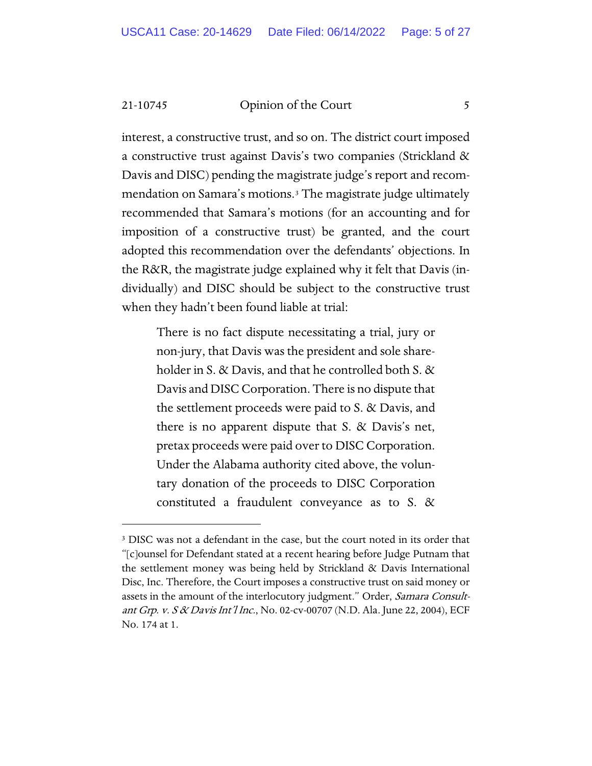interest, a constructive trust, and so on. The district court imposed a constructive trust against Davis's two companies (Strickland & Davis and DISC) pending the magistrate judge's report and recommendation on Samara's motions.[3](#page-4-0) The magistrate judge ultimately recommended that Samara's motions (for an accounting and for imposition of a constructive trust) be granted, and the court adopted this recommendation over the defendants' objections. In the R&R, the magistrate judge explained why it felt that Davis (individually) and DISC should be subject to the constructive trust when they hadn't been found liable at trial:

> There is no fact dispute necessitating a trial, jury or non-jury, that Davis was the president and sole shareholder in S. & Davis, and that he controlled both S. & Davis and DISC Corporation. There is no dispute that the settlement proceeds were paid to S. & Davis, and there is no apparent dispute that S. & Davis's net, pretax proceeds were paid over to DISC Corporation. Under the Alabama authority cited above, the voluntary donation of the proceeds to DISC Corporation constituted a fraudulent conveyance as to S. &

<span id="page-4-0"></span><sup>&</sup>lt;sup>3</sup> DISC was not a defendant in the case, but the court noted in its order that "[c]ounsel for Defendant stated at a recent hearing before Judge Putnam that the settlement money was being held by Strickland & Davis International Disc, Inc. Therefore, the Court imposes a constructive trust on said money or assets in the amount of the interlocutory judgment." Order, Samara Consultant Grp. v. S & Davis Int'l Inc., No. 02-cv-00707 (N.D. Ala. June 22, 2004), ECF No. 174 at 1.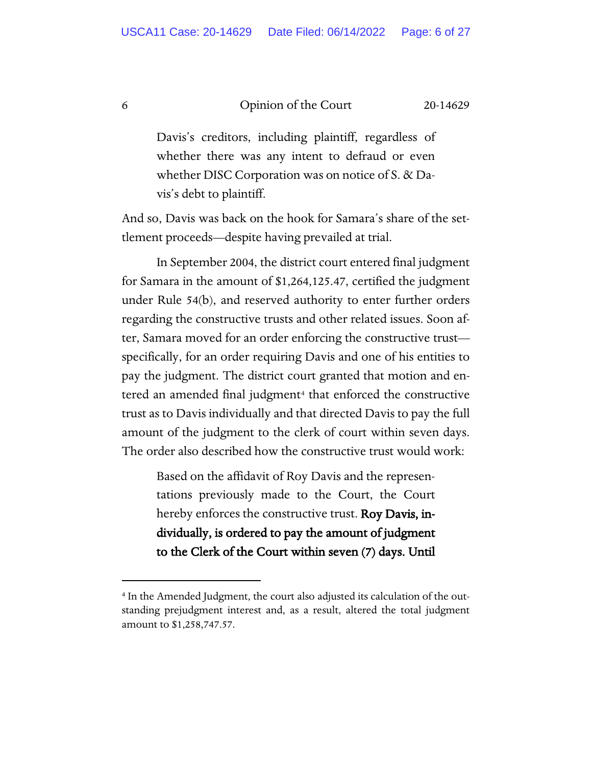Davis's creditors, including plaintiff, regardless of whether there was any intent to defraud or even whether DISC Corporation was on notice of S. & Davis's debt to plaintiff.

And so, Davis was back on the hook for Samara's share of the settlement proceeds—despite having prevailed at trial.

In September 2004, the district court entered final judgment for Samara in the amount of \$1,264,125.47, certified the judgment under Rule 54(b), and reserved authority to enter further orders regarding the constructive trusts and other related issues. Soon after, Samara moved for an order enforcing the constructive trust specifically, for an order requiring Davis and one of his entities to pay the judgment. The district court granted that motion and en-tered an amended final judgment<sup>[4](#page-5-0)</sup> that enforced the constructive trust as to Davis individually and that directed Davis to pay the full amount of the judgment to the clerk of court within seven days. The order also described how the constructive trust would work:

> Based on the affidavit of Roy Davis and the representations previously made to the Court, the Court hereby enforces the constructive trust. Roy Davis, individually, is ordered to pay the amount of judgment to the Clerk of the Court within seven (7) days. Until

<span id="page-5-0"></span><sup>4</sup> In the Amended Judgment, the court also adjusted its calculation of the outstanding prejudgment interest and, as a result, altered the total judgment amount to \$1,258,747.57.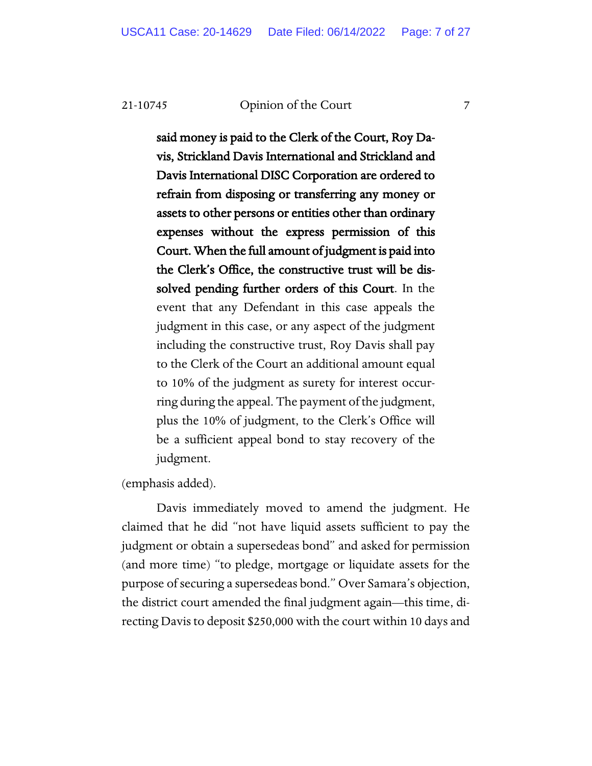said money is paid to the Clerk of the Court, Roy Davis, Strickland Davis International and Strickland and Davis International DISC Corporation are ordered to refrain from disposing or transferring any money or assets to other persons or entities other than ordinary expenses without the express permission of this Court. When the full amount of judgment is paid into the Clerk's Office, the constructive trust will be dissolved pending further orders of this Court. In the event that any Defendant in this case appeals the judgment in this case, or any aspect of the judgment including the constructive trust, Roy Davis shall pay to the Clerk of the Court an additional amount equal to 10% of the judgment as surety for interest occurring during the appeal. The payment of the judgment, plus the 10% of judgment, to the Clerk's Office will be a sufficient appeal bond to stay recovery of the judgment.

(emphasis added).

Davis immediately moved to amend the judgment. He claimed that he did "not have liquid assets sufficient to pay the judgment or obtain a supersedeas bond" and asked for permission (and more time) "to pledge, mortgage or liquidate assets for the purpose of securing a supersedeas bond." Over Samara's objection, the district court amended the final judgment again—this time, directing Davis to deposit \$250,000 with the court within 10 days and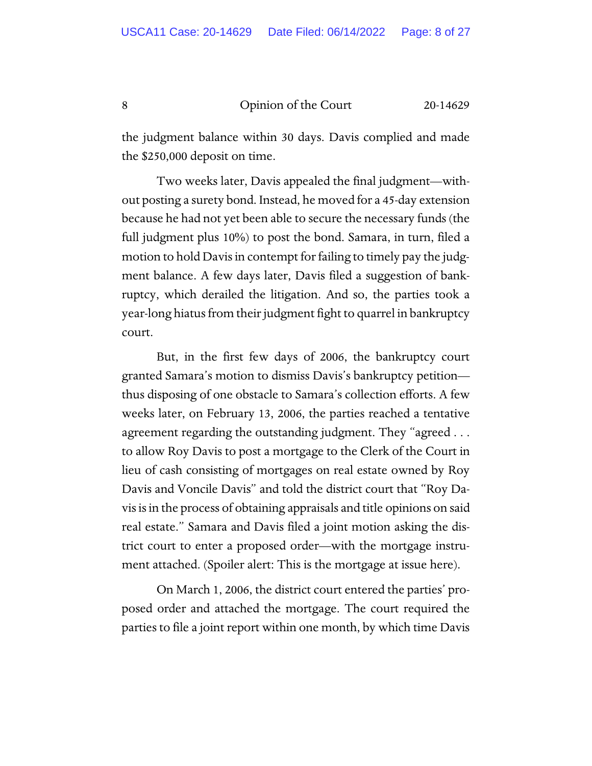the judgment balance within 30 days. Davis complied and made the \$250,000 deposit on time.

Two weeks later, Davis appealed the final judgment—without posting a surety bond. Instead, he moved for a 45-day extension because he had not yet been able to secure the necessary funds (the full judgment plus 10%) to post the bond. Samara, in turn, filed a motion to hold Davis in contempt for failing to timely pay the judgment balance. A few days later, Davis filed a suggestion of bankruptcy, which derailed the litigation. And so, the parties took a year-long hiatus from their judgment fight to quarrel in bankruptcy court.

But, in the first few days of 2006, the bankruptcy court granted Samara's motion to dismiss Davis's bankruptcy petition thus disposing of one obstacle to Samara's collection efforts. A few weeks later, on February 13, 2006, the parties reached a tentative agreement regarding the outstanding judgment. They "agreed . . . to allow Roy Davis to post a mortgage to the Clerk of the Court in lieu of cash consisting of mortgages on real estate owned by Roy Davis and Voncile Davis" and told the district court that "Roy Davis is in the process of obtaining appraisals and title opinions on said real estate." Samara and Davis filed a joint motion asking the district court to enter a proposed order—with the mortgage instrument attached. (Spoiler alert: This is the mortgage at issue here).

On March 1, 2006, the district court entered the parties' proposed order and attached the mortgage. The court required the parties to file a joint report within one month, by which time Davis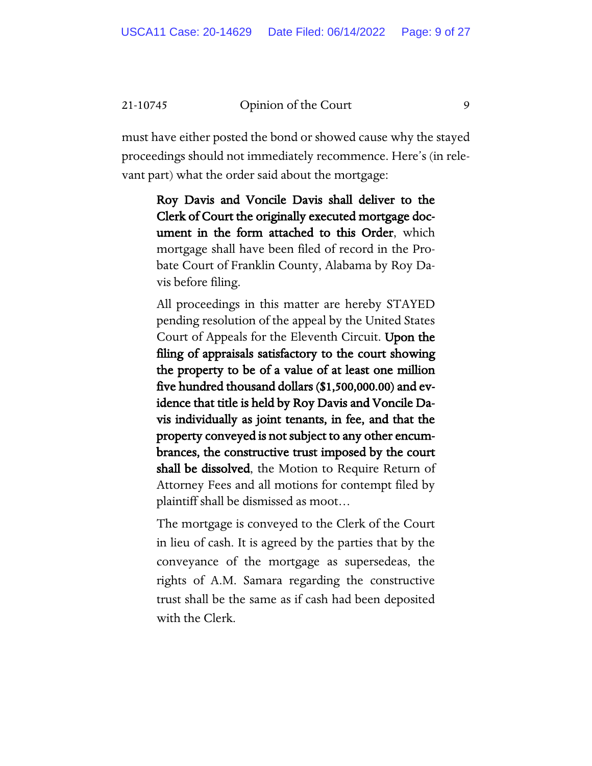must have either posted the bond or showed cause why the stayed proceedings should not immediately recommence. Here's (in relevant part) what the order said about the mortgage:

Roy Davis and Voncile Davis shall deliver to the Clerk of Court the originally executed mortgage document in the form attached to this Order, which mortgage shall have been filed of record in the Probate Court of Franklin County, Alabama by Roy Davis before filing.

All proceedings in this matter are hereby STAYED pending resolution of the appeal by the United States Court of Appeals for the Eleventh Circuit. Upon the filing of appraisals satisfactory to the court showing the property to be of a value of at least one million five hundred thousand dollars (\$1,500,000.00) and evidence that title is held by Roy Davis and Voncile Davis individually as joint tenants, in fee, and that the property conveyed is not subject to any other encumbrances, the constructive trust imposed by the court shall be dissolved, the Motion to Require Return of Attorney Fees and all motions for contempt filed by plaintiff shall be dismissed as moot…

The mortgage is conveyed to the Clerk of the Court in lieu of cash. It is agreed by the parties that by the conveyance of the mortgage as supersedeas, the rights of A.M. Samara regarding the constructive trust shall be the same as if cash had been deposited with the Clerk.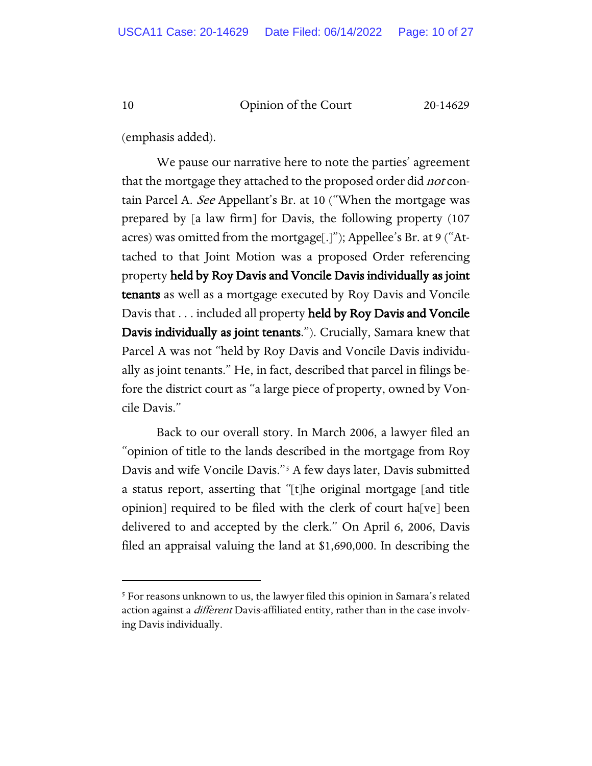(emphasis added).

We pause our narrative here to note the parties' agreement that the mortgage they attached to the proposed order did *not* contain Parcel A. See Appellant's Br. at 10 ("When the mortgage was prepared by [a law firm] for Davis, the following property (107 acres) was omitted from the mortgage[.]"); Appellee's Br. at 9 ("Attached to that Joint Motion was a proposed Order referencing property held by Roy Davis and Voncile Davis individually as joint tenants as well as a mortgage executed by Roy Davis and Voncile Davis that . . . included all property held by Roy Davis and Voncile Davis individually as joint tenants."). Crucially, Samara knew that Parcel A was not "held by Roy Davis and Voncile Davis individually as joint tenants." He, in fact, described that parcel in filings before the district court as "a large piece of property, owned by Voncile Davis."

Back to our overall story. In March 2006, a lawyer filed an "opinion of title to the lands described in the mortgage from Roy Davis and wife Voncile Davis."<sup>[5](#page-9-0)</sup> A few days later, Davis submitted a status report, asserting that "[t]he original mortgage [and title opinion] required to be filed with the clerk of court ha[ve] been delivered to and accepted by the clerk." On April 6, 2006, Davis filed an appraisal valuing the land at \$1,690,000. In describing the

<span id="page-9-0"></span><sup>5</sup> For reasons unknown to us, the lawyer filed this opinion in Samara's related action against a *different* Davis-affiliated entity, rather than in the case involving Davis individually.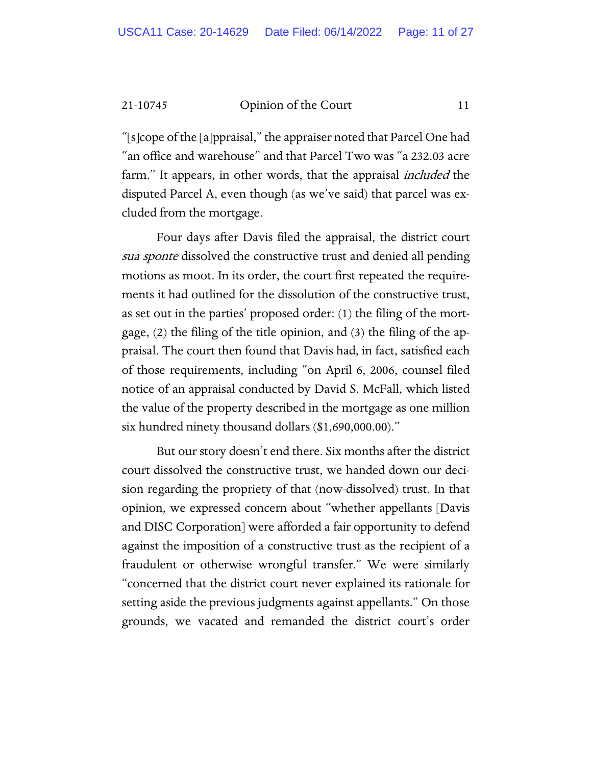"[s]cope of the [a]ppraisal," the appraiser noted that Parcel One had "an office and warehouse" and that Parcel Two was "a 232.03 acre farm." It appears, in other words, that the appraisal *included* the disputed Parcel A, even though (as we've said) that parcel was excluded from the mortgage.

Four days after Davis filed the appraisal, the district court sua sponte dissolved the constructive trust and denied all pending motions as moot. In its order, the court first repeated the requirements it had outlined for the dissolution of the constructive trust, as set out in the parties' proposed order: (1) the filing of the mortgage, (2) the filing of the title opinion, and (3) the filing of the appraisal. The court then found that Davis had, in fact, satisfied each of those requirements, including "on April 6, 2006, counsel filed notice of an appraisal conducted by David S. McFall, which listed the value of the property described in the mortgage as one million six hundred ninety thousand dollars (\$1,690,000.00)."

But our story doesn't end there. Six months after the district court dissolved the constructive trust, we handed down our decision regarding the propriety of that (now-dissolved) trust. In that opinion, we expressed concern about "whether appellants [Davis and DISC Corporation] were afforded a fair opportunity to defend against the imposition of a constructive trust as the recipient of a fraudulent or otherwise wrongful transfer." We were similarly "concerned that the district court never explained its rationale for setting aside the previous judgments against appellants." On those grounds, we vacated and remanded the district court's order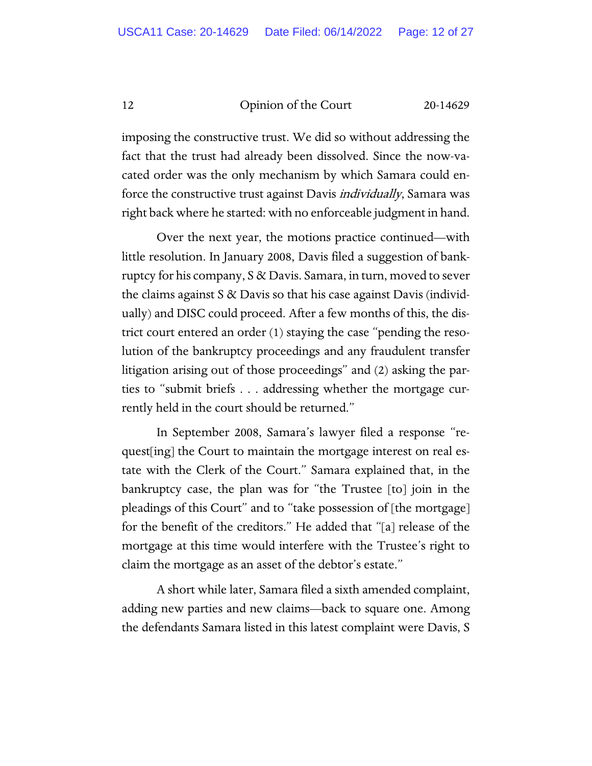imposing the constructive trust. We did so without addressing the fact that the trust had already been dissolved. Since the now-vacated order was the only mechanism by which Samara could enforce the constructive trust against Davis *individually*, Samara was right back where he started: with no enforceable judgment in hand.

Over the next year, the motions practice continued—with little resolution. In January 2008, Davis filed a suggestion of bankruptcy for his company, S & Davis. Samara, in turn, moved to sever the claims against S & Davis so that his case against Davis (individually) and DISC could proceed. After a few months of this, the district court entered an order (1) staying the case "pending the resolution of the bankruptcy proceedings and any fraudulent transfer litigation arising out of those proceedings" and (2) asking the parties to "submit briefs . . . addressing whether the mortgage currently held in the court should be returned."

In September 2008, Samara's lawyer filed a response "request[ing] the Court to maintain the mortgage interest on real estate with the Clerk of the Court." Samara explained that, in the bankruptcy case, the plan was for "the Trustee [to] join in the pleadings of this Court" and to "take possession of [the mortgage] for the benefit of the creditors." He added that "[a] release of the mortgage at this time would interfere with the Trustee's right to claim the mortgage as an asset of the debtor's estate."

A short while later, Samara filed a sixth amended complaint, adding new parties and new claims—back to square one. Among the defendants Samara listed in this latest complaint were Davis, S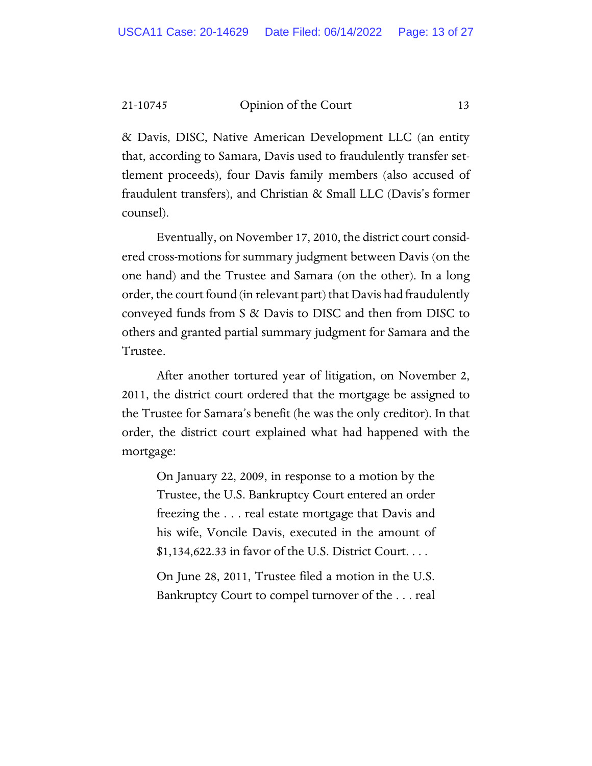& Davis, DISC, Native American Development LLC (an entity that, according to Samara, Davis used to fraudulently transfer settlement proceeds), four Davis family members (also accused of fraudulent transfers), and Christian & Small LLC (Davis's former counsel).

Eventually, on November 17, 2010, the district court considered cross-motions for summary judgment between Davis (on the one hand) and the Trustee and Samara (on the other). In a long order, the court found (in relevant part) that Davis had fraudulently conveyed funds from S & Davis to DISC and then from DISC to others and granted partial summary judgment for Samara and the Trustee.

After another tortured year of litigation, on November 2, 2011, the district court ordered that the mortgage be assigned to the Trustee for Samara's benefit (he was the only creditor). In that order, the district court explained what had happened with the mortgage:

On January 22, 2009, in response to a motion by the Trustee, the U.S. Bankruptcy Court entered an order freezing the . . . real estate mortgage that Davis and his wife, Voncile Davis, executed in the amount of \$1,134,622.33 in favor of the U.S. District Court. . . .

On June 28, 2011, Trustee filed a motion in the U.S. Bankruptcy Court to compel turnover of the . . . real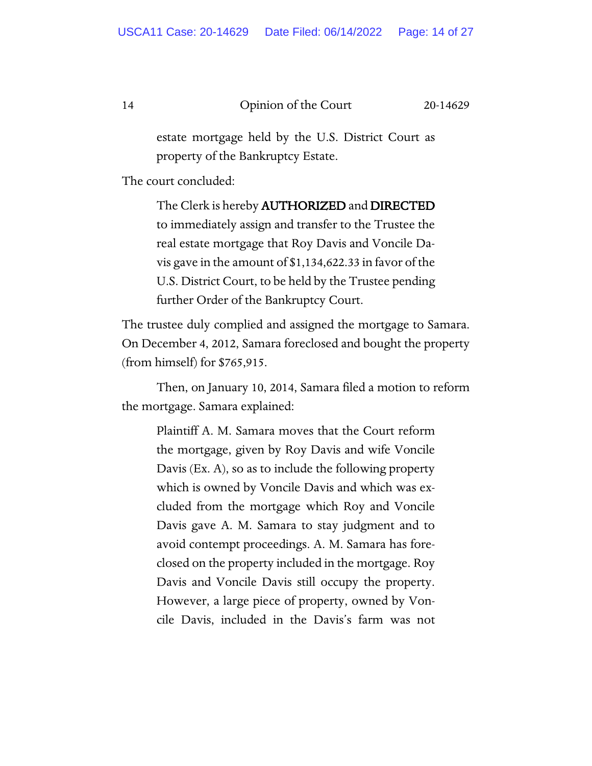estate mortgage held by the U.S. District Court as property of the Bankruptcy Estate.

The court concluded:

The Clerk is hereby AUTHORIZED and DIRECTED to immediately assign and transfer to the Trustee the real estate mortgage that Roy Davis and Voncile Davis gave in the amount of \$1,134,622.33 in favor of the U.S. District Court, to be held by the Trustee pending further Order of the Bankruptcy Court.

The trustee duly complied and assigned the mortgage to Samara. On December 4, 2012, Samara foreclosed and bought the property (from himself) for \$765,915.

Then, on January 10, 2014, Samara filed a motion to reform the mortgage. Samara explained:

Plaintiff A. M. Samara moves that the Court reform the mortgage, given by Roy Davis and wife Voncile Davis (Ex. A), so as to include the following property which is owned by Voncile Davis and which was excluded from the mortgage which Roy and Voncile Davis gave A. M. Samara to stay judgment and to avoid contempt proceedings. A. M. Samara has foreclosed on the property included in the mortgage. Roy Davis and Voncile Davis still occupy the property. However, a large piece of property, owned by Voncile Davis, included in the Davis's farm was not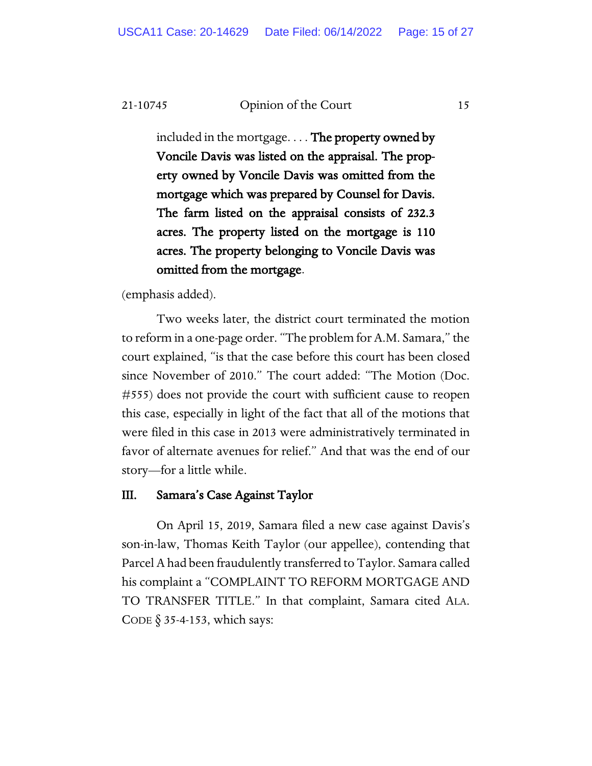included in the mortgage. . . . The property owned by Voncile Davis was listed on the appraisal. The property owned by Voncile Davis was omitted from the mortgage which was prepared by Counsel for Davis. The farm listed on the appraisal consists of 232.3 acres. The property listed on the mortgage is 110 acres. The property belonging to Voncile Davis was omitted from the mortgage.

(emphasis added).

Two weeks later, the district court terminated the motion to reform in a one-page order. "The problem for A.M. Samara," the court explained, "is that the case before this court has been closed since November of 2010." The court added: "The Motion (Doc. #555) does not provide the court with sufficient cause to reopen this case, especially in light of the fact that all of the motions that were filed in this case in 2013 were administratively terminated in favor of alternate avenues for relief." And that was the end of our story—for a little while.

# III. Samara's Case Against Taylor

On April 15, 2019, Samara filed a new case against Davis's son-in-law, Thomas Keith Taylor (our appellee), contending that Parcel A had been fraudulently transferred to Taylor. Samara called his complaint a "COMPLAINT TO REFORM MORTGAGE AND TO TRANSFER TITLE." In that complaint, Samara cited ALA. CODE  $\S$  35-4-153, which says: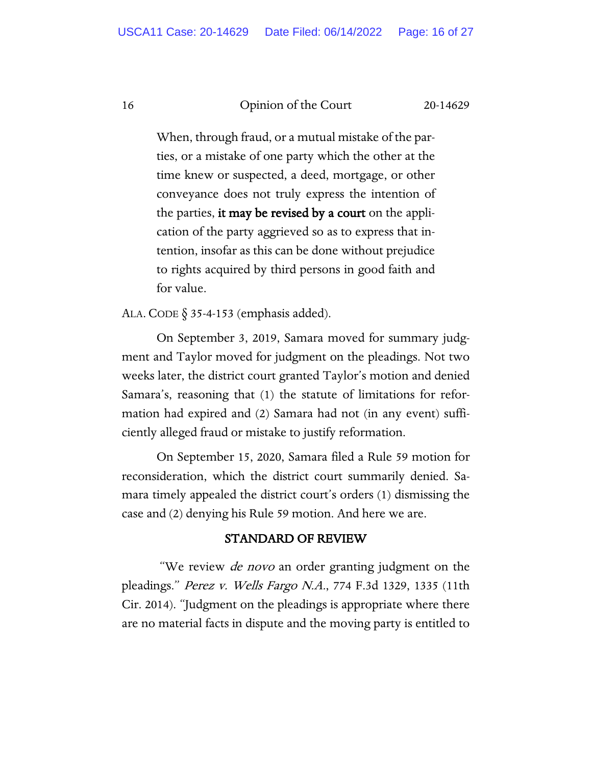When, through fraud, or a mutual mistake of the parties, or a mistake of one party which the other at the time knew or suspected, a deed, mortgage, or other conveyance does not truly express the intention of the parties, it may be revised by a court on the application of the party aggrieved so as to express that intention, insofar as this can be done without prejudice to rights acquired by third persons in good faith and for value.

ALA. CODE § 35-4-153 (emphasis added).

On September 3, 2019, Samara moved for summary judgment and Taylor moved for judgment on the pleadings. Not two weeks later, the district court granted Taylor's motion and denied Samara's, reasoning that (1) the statute of limitations for reformation had expired and (2) Samara had not (in any event) sufficiently alleged fraud or mistake to justify reformation.

On September 15, 2020, Samara filed a Rule 59 motion for reconsideration, which the district court summarily denied. Samara timely appealed the district court's orders (1) dismissing the case and (2) denying his Rule 59 motion. And here we are.

# STANDARD OF REVIEW

"We review *de novo* an order granting judgment on the pleadings." Perez v. Wells Fargo N.A., 774 F.3d 1329, 1335 (11th Cir. 2014). "Judgment on the pleadings is appropriate where there are no material facts in dispute and the moving party is entitled to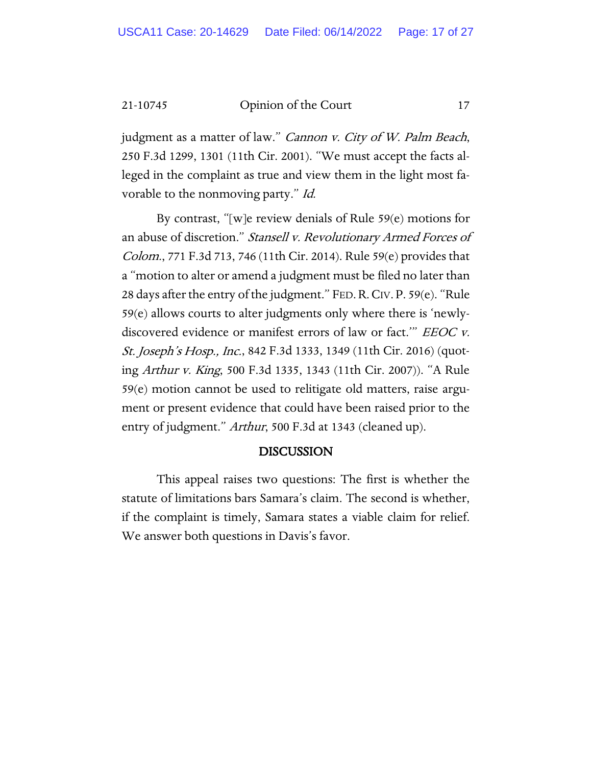judgment as a matter of law." *Cannon v. City of W. Palm Beach*, 250 F.3d 1299, 1301 (11th Cir. 2001). "We must accept the facts alleged in the complaint as true and view them in the light most favorable to the nonmoving party." Id.

By contrast, "[w]e review denials of Rule 59(e) motions for an abuse of discretion." Stansell v. Revolutionary Armed Forces of Colom., 771 F.3d 713, 746 (11th Cir. 2014). Rule 59(e) provides that a "motion to alter or amend a judgment must be filed no later than 28 days after the entry of the judgment." FED.R.CIV. P. 59(e). "Rule 59(e) allows courts to alter judgments only where there is 'newlydiscovered evidence or manifest errors of law or fact." EEOC v. St. Joseph's Hosp., Inc., 842 F.3d 1333, 1349 (11th Cir. 2016) (quoting Arthur v. King, 500 F.3d 1335, 1343 (11th Cir. 2007)). "A Rule 59(e) motion cannot be used to relitigate old matters, raise argument or present evidence that could have been raised prior to the entry of judgment." Arthur, 500 F.3d at 1343 (cleaned up).

#### DISCUSSION

This appeal raises two questions: The first is whether the statute of limitations bars Samara's claim. The second is whether, if the complaint is timely, Samara states a viable claim for relief. We answer both questions in Davis's favor.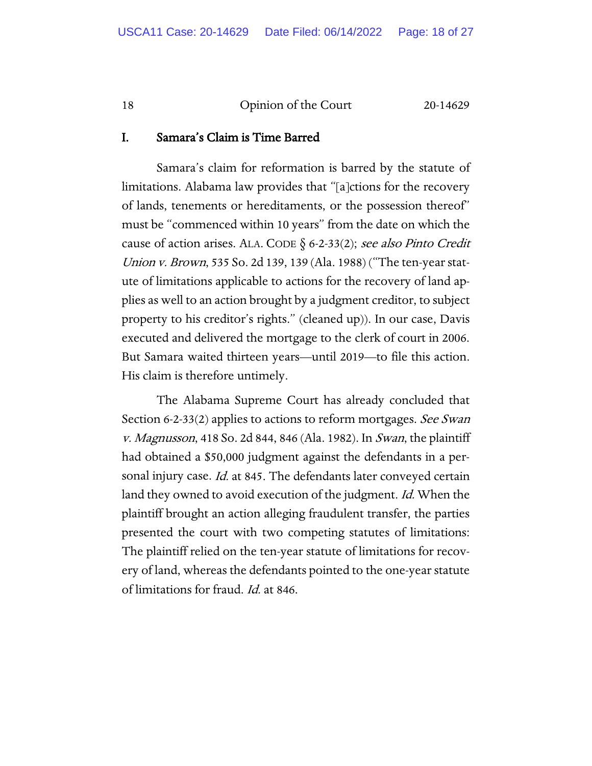# I. Samara's Claim is Time Barred

Samara's claim for reformation is barred by the statute of limitations. Alabama law provides that "[a]ctions for the recovery of lands, tenements or hereditaments, or the possession thereof" must be "commenced within 10 years" from the date on which the cause of action arises. ALA. CODE  $\S$  6-2-33(2); see also Pinto Credit Union v. Brown, 535 So. 2d 139, 139 (Ala. 1988) ("The ten-year statute of limitations applicable to actions for the recovery of land applies as well to an action brought by a judgment creditor, to subject property to his creditor's rights." (cleaned up)). In our case, Davis executed and delivered the mortgage to the clerk of court in 2006. But Samara waited thirteen years—until 2019—to file this action. His claim is therefore untimely.

The Alabama Supreme Court has already concluded that Section 6-2-33(2) applies to actions to reform mortgages. See Swan v. *Magnusson*, 418 So. 2d 844, 846 (Ala. 1982). In *Swan*, the plaintiff had obtained a \$50,000 judgment against the defendants in a personal injury case. Id. at 845. The defendants later conveyed certain land they owned to avoid execution of the judgment. *Id.* When the plaintiff brought an action alleging fraudulent transfer, the parties presented the court with two competing statutes of limitations: The plaintiff relied on the ten-year statute of limitations for recovery of land, whereas the defendants pointed to the one-year statute of limitations for fraud. Id. at 846.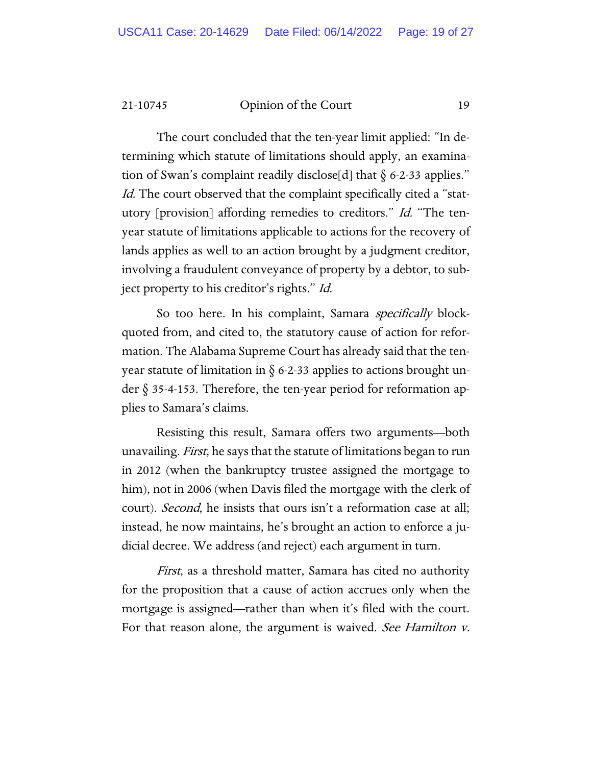The court concluded that the ten-year limit applied: "In determining which statute of limitations should apply, an examination of Swan's complaint readily disclose[d] that  $\S$  6-2-33 applies." Id. The court observed that the complaint specifically cited a "statutory [provision] affording remedies to creditors." Id. "The tenyear statute of limitations applicable to actions for the recovery of lands applies as well to an action brought by a judgment creditor, involving a fraudulent conveyance of property by a debtor, to subject property to his creditor's rights." Id.

So too here. In his complaint, Samara *specifically* blockquoted from, and cited to, the statutory cause of action for reformation. The Alabama Supreme Court has already said that the tenyear statute of limitation in  $\S$  6-2-33 applies to actions brought under  $\S$  35-4-153. Therefore, the ten-year period for reformation applies to Samara's claims.

Resisting this result, Samara offers two arguments—both unavailing. *First*, he says that the statute of limitations began to run in 2012 (when the bankruptcy trustee assigned the mortgage to him), not in 2006 (when Davis filed the mortgage with the clerk of court). *Second*, he insists that ours isn't a reformation case at all; instead, he now maintains, he's brought an action to enforce a judicial decree. We address (and reject) each argument in turn.

First, as a threshold matter, Samara has cited no authority for the proposition that a cause of action accrues only when the mortgage is assigned—rather than when it's filed with the court. For that reason alone, the argument is waived. See Hamilton v.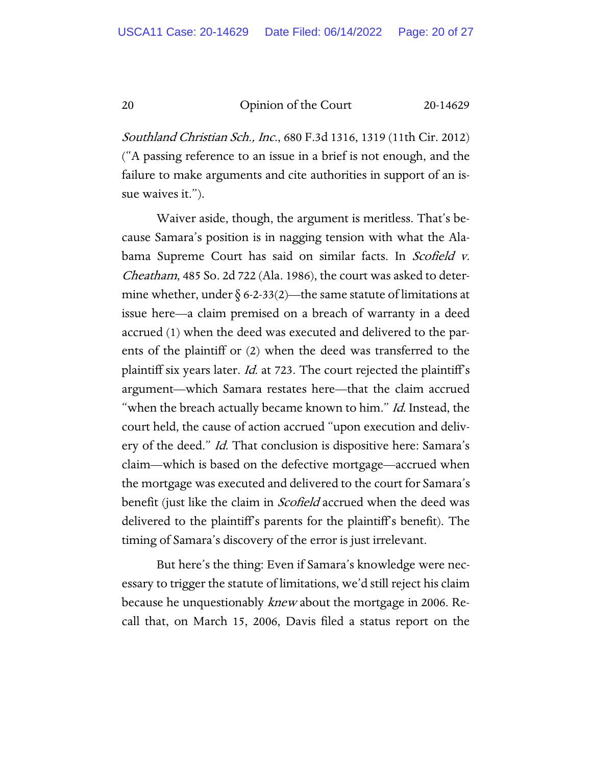Southland Christian Sch., Inc., 680 F.3d 1316, 1319 (11th Cir. 2012) ("A passing reference to an issue in a brief is not enough, and the failure to make arguments and cite authorities in support of an issue waives it.").

Waiver aside, though, the argument is meritless. That's because Samara's position is in nagging tension with what the Alabama Supreme Court has said on similar facts. In Scofield v. Cheatham, 485 So. 2d 722 (Ala. 1986), the court was asked to determine whether, under  $\S 6$ -2-33(2)—the same statute of limitations at issue here—a claim premised on a breach of warranty in a deed accrued (1) when the deed was executed and delivered to the parents of the plaintiff or (2) when the deed was transferred to the plaintiff six years later. *Id.* at 723. The court rejected the plaintiff's argument—which Samara restates here—that the claim accrued "when the breach actually became known to him." Id. Instead, the court held, the cause of action accrued "upon execution and delivery of the deed." *Id.* That conclusion is dispositive here: Samara's claim—which is based on the defective mortgage—accrued when the mortgage was executed and delivered to the court for Samara's benefit (just like the claim in *Scofield* accrued when the deed was delivered to the plaintiff's parents for the plaintiff's benefit). The timing of Samara's discovery of the error is just irrelevant.

But here's the thing: Even if Samara's knowledge were necessary to trigger the statute of limitations, we'd still reject his claim because he unquestionably *knew* about the mortgage in 2006. Recall that, on March 15, 2006, Davis filed a status report on the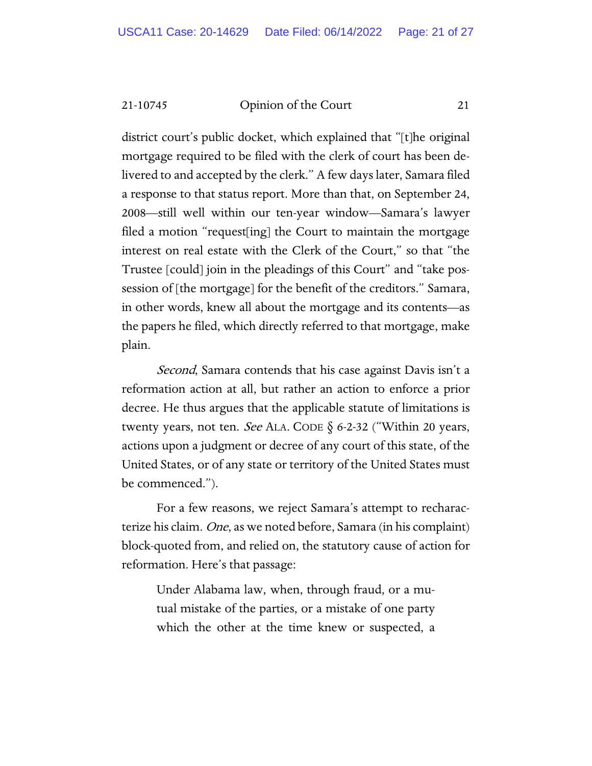district court's public docket, which explained that "[t]he original mortgage required to be filed with the clerk of court has been delivered to and accepted by the clerk." A few days later, Samara filed a response to that status report. More than that, on September 24, 2008—still well within our ten-year window—Samara's lawyer filed a motion "request[ing] the Court to maintain the mortgage interest on real estate with the Clerk of the Court," so that "the Trustee [could] join in the pleadings of this Court" and "take possession of [the mortgage] for the benefit of the creditors." Samara, in other words, knew all about the mortgage and its contents—as the papers he filed, which directly referred to that mortgage, make plain.

Second, Samara contends that his case against Davis isn't a reformation action at all, but rather an action to enforce a prior decree. He thus argues that the applicable statute of limitations is twenty years, not ten. *See* ALA. CODE  $\S$  6-2-32 ("Within 20 years, actions upon a judgment or decree of any court of this state, of the United States, or of any state or territory of the United States must be commenced.").

For a few reasons, we reject Samara's attempt to recharacterize his claim. One, as we noted before, Samara (in his complaint) block-quoted from, and relied on, the statutory cause of action for reformation. Here's that passage:

Under Alabama law, when, through fraud, or a mutual mistake of the parties, or a mistake of one party which the other at the time knew or suspected, a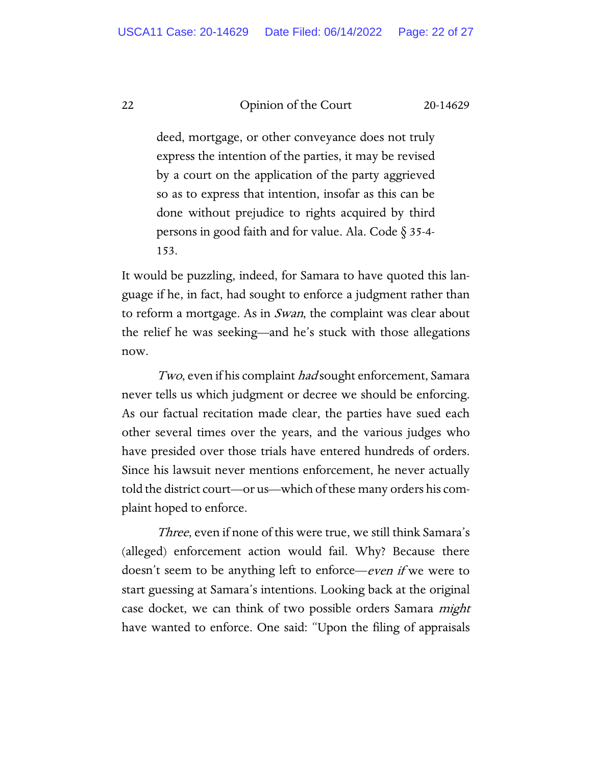deed, mortgage, or other conveyance does not truly express the intention of the parties, it may be revised by a court on the application of the party aggrieved so as to express that intention, insofar as this can be done without prejudice to rights acquired by third persons in good faith and for value. Ala. Code § 35-4- 153.

It would be puzzling, indeed, for Samara to have quoted this language if he, in fact, had sought to enforce a judgment rather than to reform a mortgage. As in *Swan*, the complaint was clear about the relief he was seeking—and he's stuck with those allegations now.

*Two*, even if his complaint *had* sought enforcement, Samara never tells us which judgment or decree we should be enforcing. As our factual recitation made clear, the parties have sued each other several times over the years, and the various judges who have presided over those trials have entered hundreds of orders. Since his lawsuit never mentions enforcement, he never actually told the district court—or us—which of these many orders his complaint hoped to enforce.

Three, even if none of this were true, we still think Samara's (alleged) enforcement action would fail. Why? Because there doesn't seem to be anything left to enforce—*even if* we were to start guessing at Samara's intentions. Looking back at the original case docket, we can think of two possible orders Samara *might* have wanted to enforce. One said: "Upon the filing of appraisals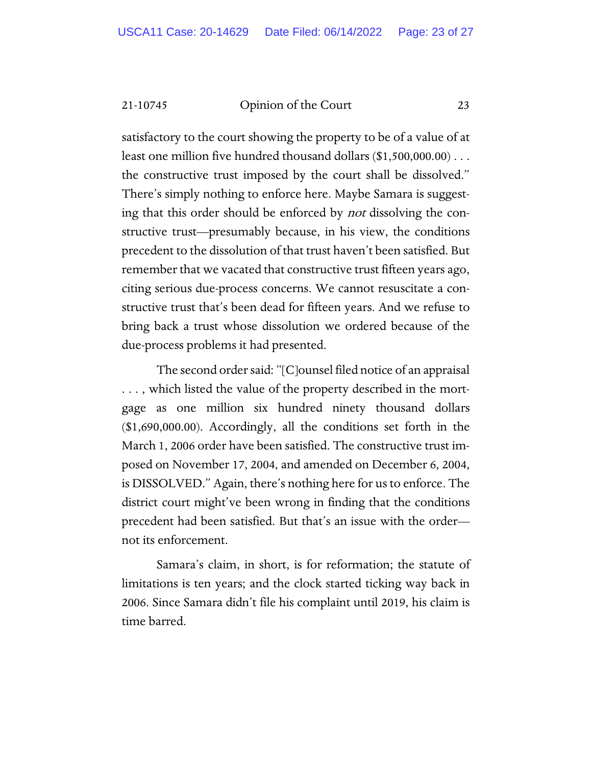satisfactory to the court showing the property to be of a value of at least one million five hundred thousand dollars (\$1,500,000.00) . . . the constructive trust imposed by the court shall be dissolved." There's simply nothing to enforce here. Maybe Samara is suggesting that this order should be enforced by not dissolving the constructive trust—presumably because, in his view, the conditions precedent to the dissolution of that trust haven't been satisfied. But remember that we vacated that constructive trust fifteen years ago, citing serious due-process concerns. We cannot resuscitate a constructive trust that's been dead for fifteen years. And we refuse to bring back a trust whose dissolution we ordered because of the due-process problems it had presented.

The second order said: "[C]ounsel filed notice of an appraisal . . . , which listed the value of the property described in the mortgage as one million six hundred ninety thousand dollars (\$1,690,000.00). Accordingly, all the conditions set forth in the March 1, 2006 order have been satisfied. The constructive trust imposed on November 17, 2004, and amended on December 6, 2004, is DISSOLVED." Again, there's nothing here for us to enforce. The district court might've been wrong in finding that the conditions precedent had been satisfied. But that's an issue with the order not its enforcement.

Samara's claim, in short, is for reformation; the statute of limitations is ten years; and the clock started ticking way back in 2006. Since Samara didn't file his complaint until 2019, his claim is time barred.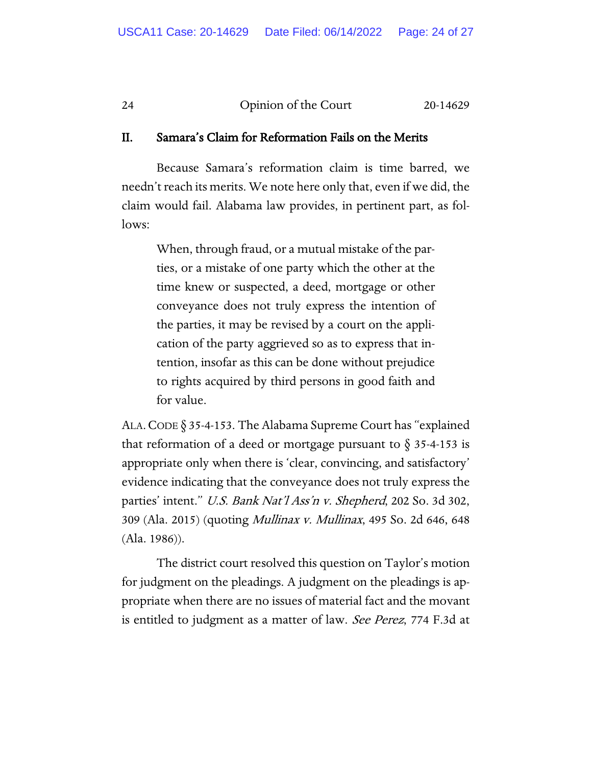## II. Samara's Claim for Reformation Fails on the Merits

Because Samara's reformation claim is time barred, we needn't reach its merits. We note here only that, even if we did, the claim would fail. Alabama law provides, in pertinent part, as follows:

When, through fraud, or a mutual mistake of the parties, or a mistake of one party which the other at the time knew or suspected, a deed, mortgage or other conveyance does not truly express the intention of the parties, it may be revised by a court on the application of the party aggrieved so as to express that intention, insofar as this can be done without prejudice to rights acquired by third persons in good faith and for value.

ALA.CODE § 35-4-153. The Alabama Supreme Court has "explained that reformation of a deed or mortgage pursuant to  $\S 35-4-153$  is appropriate only when there is 'clear, convincing, and satisfactory' evidence indicating that the conveyance does not truly express the parties' intent." U.S. Bank Nat'l Ass'n v. Shepherd, 202 So. 3d 302, 309 (Ala. 2015) (quoting Mullinax v. Mullinax, 495 So. 2d 646, 648 (Ala. 1986)).

The district court resolved this question on Taylor's motion for judgment on the pleadings. A judgment on the pleadings is appropriate when there are no issues of material fact and the movant is entitled to judgment as a matter of law. See Perez, 774 F.3d at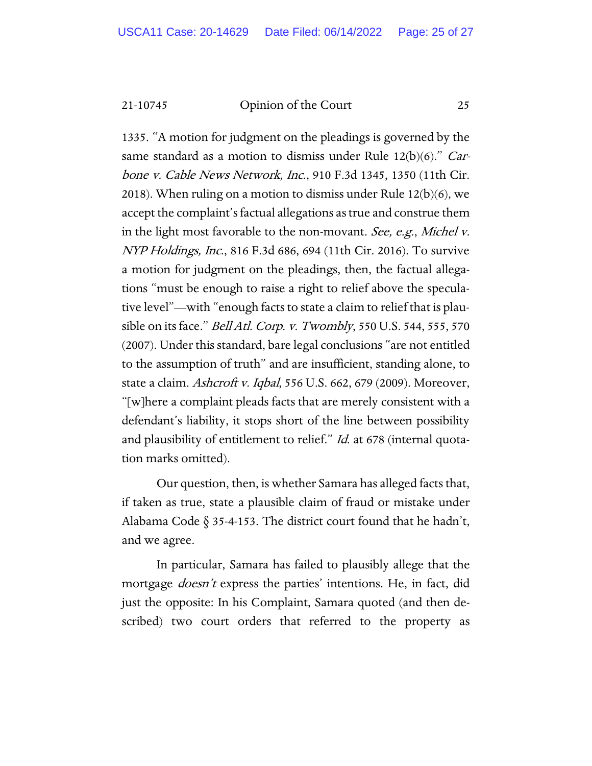1335. "A motion for judgment on the pleadings is governed by the same standard as a motion to dismiss under Rule 12(b)(6)." Carbone v. Cable News Network, Inc., 910 F.3d 1345, 1350 (11th Cir. 2018). When ruling on a motion to dismiss under Rule 12(b)(6), we accept the complaint's factual allegations as true and construe them in the light most favorable to the non-movant. See, e.g., Michel v. NYP Holdings, Inc., 816 F.3d 686, 694 (11th Cir. 2016). To survive a motion for judgment on the pleadings, then, the factual allegations "must be enough to raise a right to relief above the speculative level"—with "enough facts to state a claim to relief that is plausible on its face." Bell Atl. Corp. v. Twombly, 550 U.S. 544, 555, 570 (2007). Under this standard, bare legal conclusions "are not entitled to the assumption of truth" and are insufficient, standing alone, to state a claim. Ashcroft v. Iqbal, 556 U.S. 662, 679 (2009). Moreover, "[w]here a complaint pleads facts that are merely consistent with a defendant's liability, it stops short of the line between possibility and plausibility of entitlement to relief." *Id.* at 678 (internal quotation marks omitted).

Our question, then, is whether Samara has alleged facts that, if taken as true, state a plausible claim of fraud or mistake under Alabama Code  $\S$  35-4-153. The district court found that he hadn't, and we agree.

In particular, Samara has failed to plausibly allege that the mortgage *doesn't* express the parties' intentions. He, in fact, did just the opposite: In his Complaint, Samara quoted (and then described) two court orders that referred to the property as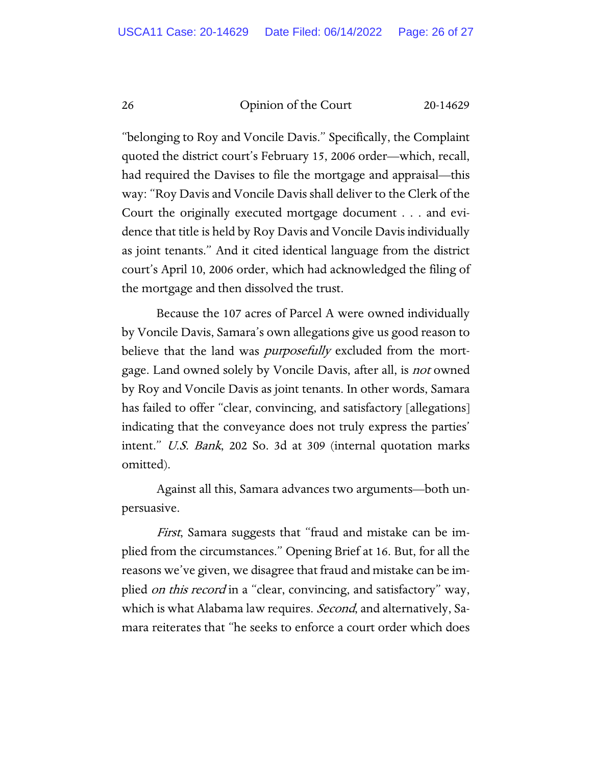"belonging to Roy and Voncile Davis." Specifically, the Complaint quoted the district court's February 15, 2006 order—which, recall, had required the Davises to file the mortgage and appraisal—this way: "Roy Davis and Voncile Davis shall deliver to the Clerk of the Court the originally executed mortgage document . . . and evidence that title is held by Roy Davis and Voncile Davis individually as joint tenants." And it cited identical language from the district court's April 10, 2006 order, which had acknowledged the filing of the mortgage and then dissolved the trust.

Because the 107 acres of Parcel A were owned individually by Voncile Davis, Samara's own allegations give us good reason to believe that the land was *purposefully* excluded from the mortgage. Land owned solely by Voncile Davis, after all, is not owned by Roy and Voncile Davis as joint tenants. In other words, Samara has failed to offer "clear, convincing, and satisfactory [allegations] indicating that the conveyance does not truly express the parties' intent." U.S. Bank, 202 So. 3d at 309 (internal quotation marks omitted).

Against all this, Samara advances two arguments—both unpersuasive.

First, Samara suggests that "fraud and mistake can be implied from the circumstances." Opening Brief at 16. But, for all the reasons we've given, we disagree that fraud and mistake can be implied *on this record* in a "clear, convincing, and satisfactory" way, which is what Alabama law requires. *Second*, and alternatively, Samara reiterates that "he seeks to enforce a court order which does